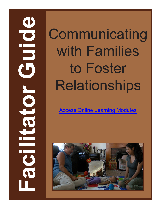# **Facilitation Science Science Communicating**<br> **Faces online Learning Modules**<br> **Faces online Learning Modules**<br> **Faces online Learning Modules** with Families to Foster Relationships

[Access Online Learning Modules](https://www.easternct.edu/center-for-early-childhood-education/online-learning-modules.html)

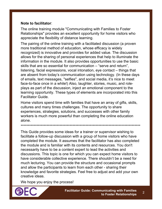### **Note to facilitator**:

The online training module "Communicating with Families to Foster Relationships" provides an excellent opportunity for home visitors who appreciate the flexibility of distance learning.

The pairing of the online training with a facilitated discussion (a proven more traditional method of education, whose efficacy is widely recognized) is innovative and provides for added value. The discussion allows for the sharing of personal experiences that help to illuminate the information in the module. It also provides opportunities to use the basic skills that are so essential for communication – "serve and return", listening, facial expressions, vocal intonation, eye contact – things that are absent from today's communication using technology. (In these days of emails, text messages, "selfies", and social media, it's nice to meet face-to-face once in a while!) Also, laughter, stories, music, and roleplays as part of the discussion, inject an emotional component to the learning opportunity. These types of elements are incorporated into this Facilitator Guide.

Home visitors spend time with families that have an array of gifts, skills, cultures and many times challenges. The opportunity to share experiences, strategies, solutions, and successes with other family workers is much more powerful than completing the online education alone.

\*\*\*\*\*\*\*\*\*\*\*\*\*\*\*\*\*\*\*\*\*\*\*\*\*\*\*\*\*\*\*\*\*\*\*\*\*\*\*\*\*\*\*\*\*\*\*\*\*\*\*\*\*\*\*\*\*\*\*\*\*\*\*\*\*\*\*\*\*\*\*\*\*\*\*\*\*\*\*\*\*\*\*

This Guide provides some ideas for a trainer or supervisor wishing to facilitate a follow-up discussion with a group of home visitors who have completed the module. It assumes that the facilitator has also completed the module and is familiar with its contents and resources. You don't necessarily have to be a content expert to lead the activities and discussions. This topic is one for which you can expect home visitors to have considerable collective experience. There shouldn't be a need for much lecturing. You can provide the structure and occasional prompts and allow the participants to learn from each other - sharing their knowledge and favorite strategies. Feel free to adjust and add your own creative ideas.

We hope you enjoy the process!

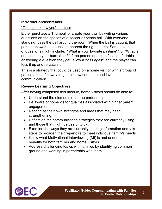### **Introduction/Icebreaker**

### "Getting to know you" ball toss

Either purchase a Thumball or create your own by writing various questions on the spaces of a soccer or beach ball. With everyone standing, pass the ball around the room. When the ball is caught, that person answers the question nearest the right thumb. Some examples of questions might include, "What is your favorite pastime?" or "What is one item on your bucket list?" If the person does not feel comfortable answering a question they get, allow a "toss again" and the player can toss it up and re-catch it.

This is a strategy that could be used on a home visit or with a group of parents. It's a fun way to get to know someone and invite communication.

### **Review Learning Objectives**

After having completed this module, home visitors should be able to:

- Understand the elements of a true partnership.
- Be aware of home visitor qualities associated with higher parent engagement.
- Recognize their own strengths and areas that may need strengthening.
- Reflect on the communication strategies they are currently using and those that might be useful to try.
- Examine the ways they are currently sharing information and take steps to broaden their repertoire to meet individual family's needs.
- Know what Motivational Interviewing (MI) is and understand its benefits for both families and home visitors.
- Address challenging topics with families by identifying common ground and working in partnership with them.

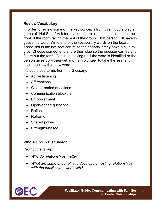### **Review Vocabulary**

In order to review some of the key concepts from this module play a game of "Hot Seat." Ask for a volunteer to sit in a chair placed at the front of the room facing the rest of the group. That person will have to guess the word. Write one of the vocabulary words on the board. Those not in the hot seat can raise their hands if they have a clue to give. Choose someone to share their clue so the guesser can try and figure out the term. Continue playing until the word is identified or the person gives up – then get another volunteer to take the seat and begin again with a new word.

Include these terms from the Glossary:

- Active listening
- **Affirmations**
- Closed-ended questions
- Communication blockers
- Empowerment
- Open-ended questions
- Reflections
- Reframe
- Shared power
- Strengths-based

### **Whole Group Discussion**

Prompt the group:

- *Why do relationships matter?*
- *What are some of benefits to developing trusting relationships with the families you work with?*



4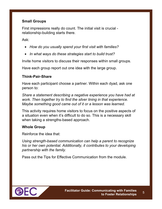### **Small Groups**

First impressions really do count. The initial visit is crucial relationship-building starts there.

Ask:

- *How do you usually spend your first visit with families?*
- *In what ways do these strategies start to build trust?*

Invite home visitors to discuss their responses within small groups.

Have each group report out one idea with the large group.

### **Think-Pair-Share**

Have each participant choose a partner. Within each dyad, ask one person to:

*Share a statement describing a negative experience you have had at work. Then together try to find the silver lining in that experience. Maybe something good came out of it or a lesson was learned.* 

This activity requires home visitors to focus on the positive aspects of a situation even when it's difficult to do so. This is a necessary skill when taking a strengths-based approach.

### **Whole Group**

Reinforce the idea that:

*Using strength-based communication can help a parent to recognize his or her own potential. Additionally, it contributes to your developing partnership with the family.* 

Pass out the Tips for Effective Communication from the module.

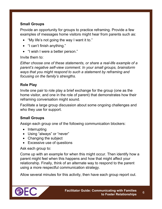### **Small Groups**

Provide an opportunity for groups to practice reframing. Provide a few examples of messages home visitors might hear from parents such as:

- "My life's not going the way I want it to."
- "I can't finish anything."
- "I wish I were a better person."

### Invite them to:

*Either choose one of these statements, or share a real-life example of a parent's negative self-view comment. In your small groups, brainstorm ways that you might respond to such a statement by reframing and focusing on the family's strengths.* 

### **Role Play**

Invite one pair to role play a brief exchange for the group (one as the home visitor, and one in the role of parent) that demonstrates how their reframing conversation might sound.

Facilitate a large group discussion about some ongoing challenges and who they use for support.

### **Small Groups**

Assign each group one of the following communication blockers:

- Interrupting
- Using "always" or "never"
- Changing the subject
- Excessive use of questions

### Ask each group to:

Come up with an example for when this might occur. Then identify how a parent might feel when this happens and how that might affect your relationship. Finally, think of an alternate way to respond to the parent using a more respectful communication strategy.

Allow several minutes for this activity, then have each group report out.

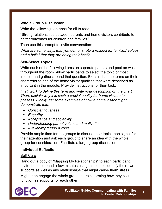### **Whole Group Discussion**

Write the following sentence for all to read:

"Strong relationships between parents and home visitors contribute to better outcomes for children and families."

Then use this prompt to invite conversation:

*What are some ways that you demonstrate a respect for families' values and a belief that they are doing their best?*

### **Self-Select Topics**

Write each of the following items on separate papers and post on walls throughout the room. Allow participants to select the topic of most interest and gather around that question. Explain that the terms on their chart refer to one of the home visitor qualities that were described as important in the module. Provide instructions for their task:

*First, work to define this term and write your description on the chart. Then, explain why it is such a crucial quality for home visitors to possess. Finally, list some examples of how a home visitor might demonstrate this.* 

- *Conscientiousness*
- *Empathy*
- *Acceptance and sociability*
- *Understanding parent values and motivation*
- *Availability during a crisis*

Provide ample time for the groups to discuss their topic, then signal for their attention and ask each group to share an idea with the whole group for consideration. Facilitate a large group discussion.

### **Individual Reflection**

### Self-Care

Hand out a copy of "Mapping My Relationships" to each participant. Invite them to spend a few minutes using this tool to identify their own supports as well as any relationships that might cause them stress.

Might then engage the whole group in brainstorming how they could function as supports for each other.

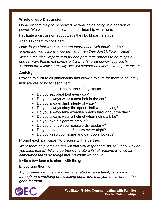### **Whole group Discussion**

Home visitors may be perceived by families as being in a position of power. We want instead to work in partnership with them.

Facilitate a discussion about ways they build partnerships.

Then ask them to consider:

*How do you feel when you share information with families about something you think is important and then they don't follow-through?* 

*While it may feel important to try and persuade parents to do things a certain way, that is not consistent with a "shared power" approach. Through the following activity, we will explore an alternative to persuasion.*

### **Activity**

Provide this list to all participants and allow a minute for them to privately indicate yes or no for each item.

### Health and Safety Habits

- Do you eat breakfast every day?
- Do you always wear a seat belt in the car?
- Do you always drink plenty of water?
- Do you always obey the speed limit while driving?
- Do you always take exercise breaks throughout the day?
- Do you always wear a helmet when riding a bike?
- Do you avoid cigarette smoke?
- Do you change your passwords regularly?
- Do you sleep at least 7 hours every night?
- Do you keep your home and car doors locked?

Prompt each participant to discuss with a partner:

*Were there any items on this list that you responded "no" to? "f so, why do you think that is? With a partner generate a list of reasons why we all sometimes fail to do things that we know we should.* 

Invite a few teams to share with the group.

Encourage them to:

*Try to remember this if you feel frustrated when a family isn't following through on something or exhibiting behaviors that you feel might not be good for them.* 



8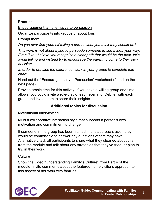### **Practice**

Encouragement, an alternative to persuasion

Organize participants into groups of about four.

Prompt them:

*Do you ever find yourself telling a parent what you think they should do?* 

*This work is not about trying to persuade someone to see things your way. Even if you believe you recognize a clear path that would be the best, let's avoid telling and instead try to encourage the parent to come to their own decision.* 

*In order to practice the difference, work in your groups to complete this chart.* 

Hand out the "Encouragement vs. Persuasion" worksheet (found on the next page).

Provide ample time for this activity. If you have a willing group and time allows, you could invite a role-play of each scenario. Debrief with each group and invite them to share their insights.

### **Additional topics for discussion**

Motivational Interviewing

MI is a collaborative interaction style that supports a person's own motivation and commitment to change.

If someone in the group has been trained in this approach, ask if they would be comfortable to answer any questions others may have. Alternatively, ask all participants to share what they gleaned about this from the module and talk about any strategies that they've tried, or plan to try, in their work.

### **Culture**

Show the video "Understanding Family's Culture" from Part 4 of the module. Invite comments about the featured home visitor's approach to this aspect of her work with families.



9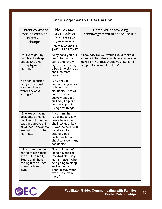# **Encouragement vs. Persuasion**

| Parent comment<br>that indicates an<br>interest in<br>change:                                                                                               | Home visitor<br>giving advice<br>and trying to<br>persuade a<br>parent to take a<br>particular action:                                                                                                  | Home visitor providing<br>encouragement might sound like:                                                                                                        |
|-------------------------------------------------------------------------------------------------------------------------------------------------------------|---------------------------------------------------------------------------------------------------------------------------------------------------------------------------------------------------------|------------------------------------------------------------------------------------------------------------------------------------------------------------------|
| "I'd like to get my<br>daughter to sleep<br>better. She's so<br>cranky by mid-<br>morning!"                                                                 | "Why don't you put<br>her to bed at the<br>same time every<br>night after reading<br>a bed time story, so<br>she'll be more<br>rested."                                                                 | "It sounds like you would like to make a<br>change in her sleep habits to ensure she<br>gets plenty of rest. Would you like some<br>support to accomplish that?" |
| "My son is such a<br>picky eater. I just<br>wish mealtimes<br>weren't such a<br>struggle."                                                                  | "You should<br>encourage your son<br>to help to prepare<br>his meals. That will<br>get him more<br>actively engaged<br>and may help him<br>be more open to<br>trying new things."                       |                                                                                                                                                                  |
| "She keeps having<br>accidents at night. I<br>don't want to put her<br>back in diapers but<br>all of these accidents<br>are going to ruin her<br>mattress." | "If you limit her<br>liquid intake a few<br>hours before bed<br>she'll be less likely<br>to wet the bed. You<br>could also try<br>putting a pad<br>underneath her<br>sheet to absorb any<br>accidents." |                                                                                                                                                                  |
| "I know we need to<br>get rid of his pacifier<br>soon but he really<br>likes it and I hate<br>seeing him so upset<br>when we take it<br>away."              | "Ease him out of<br>using his pacifier<br>little-by-little. Only<br>let him have it when<br>he's going to sleep<br>and in the car.<br>Then, slowly ween<br>even more from<br>there."                    |                                                                                                                                                                  |